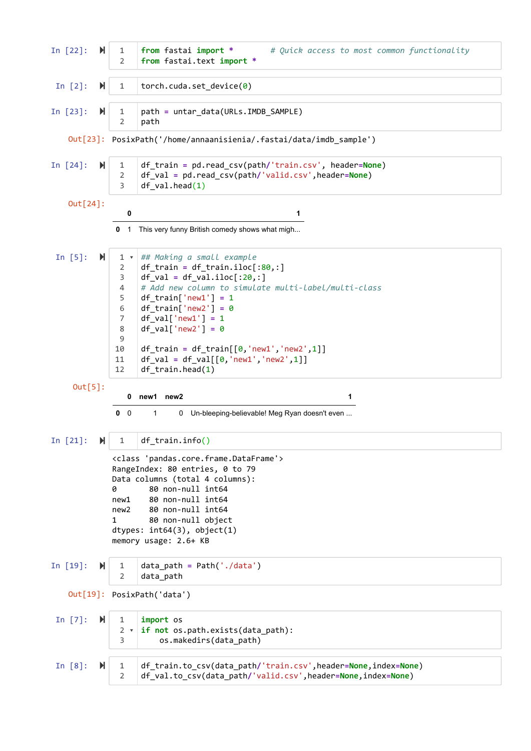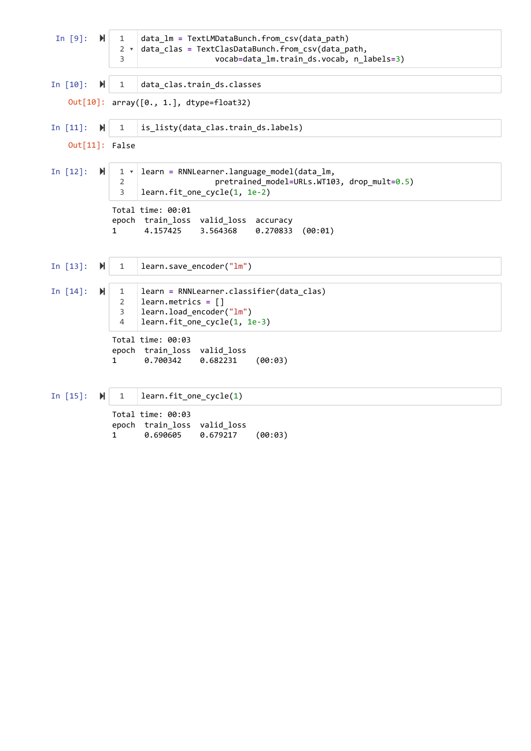In  $[9]$ :  $\mathbb{N}$ In [10]: M In  $[11]:$   $\mathbb{N}$ In [12]:  $M$ In  $[13]$ :  $\mathbb{N}$ In [14]:  $\blacksquare$ In  $[15]$ :  $\blacktriangleright$ Out $[10]$ : array( $[0., 1.]$ , dtype=float32) Out[11]: False Total time: 00:01 epoch train\_loss valid\_loss accuracy 1 4.157425 3.564368 0.270833 (00:01) Total time: 00:03 epoch train\_loss valid\_loss 1 0.700342 0.682231 (00:03) Total time: 00:03 epoch train\_loss valid\_loss data\_lm **=** TextLMDataBunch.from\_csv(data\_path) data\_clas **=** TextClasDataBunch.from\_csv(data\_path, vocab**=**data\_lm.train\_ds.vocab, n\_labels**=**3) data\_clas.train\_ds.classes is\_listy(data\_clas.train\_ds.labels) learn **=** RNNLearner.language\_model(data\_lm, pretrained\_model**=**URLs.WT103, drop\_mult**=**0.5) learn.fit\_one\_cycle(1, 1e-2) learn.save\_encoder("lm") learn **=** RNNLearner.classifier(data\_clas) learn.metrics **=** [] learn.load\_encoder("lm") learn.fit\_one\_cycle(1, 1e-3) learn.fit\_one\_cycle(1) 1 2 ▾ 3 1 1 1 ▾ 2 3 1 1 2 3 4 1

1 0.690605 0.679217 (00:03)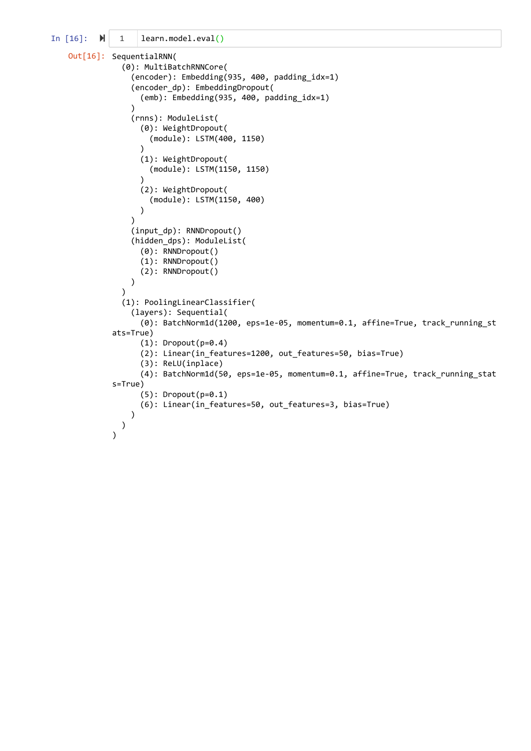```
In [16]: \blacksquareOut[16]: SequentialRNN(
      (0): MultiBatchRNNCore(
        (encoder): Embedding(935, 400, padding_idx=1)
         (encoder_dp): EmbeddingDropout(
          (emb): Embedding(935, 400, padding idx=1)
        )
        (rnns): ModuleList(
           (0): WeightDropout(
             (module): LSTM(400, 1150)
    \left( \begin{array}{cc} \end{array} \right) (1): WeightDropout(
             (module): LSTM(1150, 1150)
    \left( \begin{array}{cc} \end{array} \right) (2): WeightDropout(
             (module): LSTM(1150, 400)
           )
        )
        (input_dp): RNNDropout()
        (hidden_dps): ModuleList(
           (0): RNNDropout()
           (1): RNNDropout()
           (2): RNNDropout()
        )
      )
      (1): PoolingLinearClassifier(
        (layers): Sequential(
           (0): BatchNorm1d(1200, eps=1e-05, momentum=0.1, affine=True, track_running_st
   ats=True)
          (1): Dropout(p=0.4) (2): Linear(in_features=1200, out_features=50, bias=True)
           (3): ReLU(inplace)
           (4): BatchNorm1d(50, eps=1e-05, momentum=0.1, affine=True, track_running_stat
   s=True)
           (5): Dropout(p=0.1)
           (6): Linear(in_features=50, out_features=3, bias=True)
        )
      )
   )
     1 learn.model.eval()
```